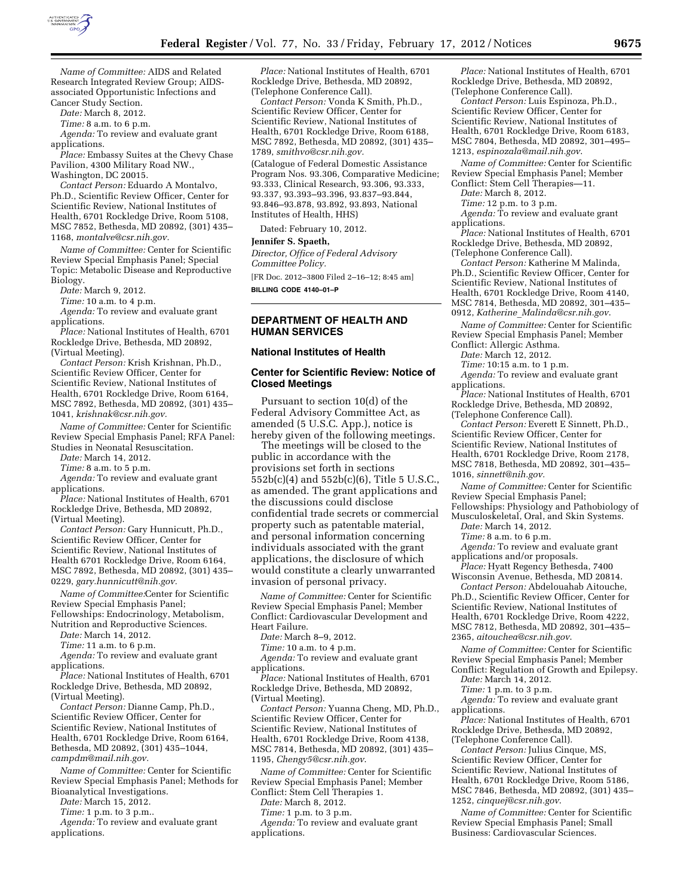

*Name of Committee:* AIDS and Related Research Integrated Review Group; AIDSassociated Opportunistic Infections and Cancer Study Section.

*Date:* March 8, 2012.

*Time:* 8 a.m. to 6 p.m.

*Agenda:* To review and evaluate grant applications.

*Place:* Embassy Suites at the Chevy Chase Pavilion, 4300 Military Road NW.,

Washington, DC 20015. *Contact Person:* Eduardo A Montalvo, Ph.D., Scientific Review Officer, Center for Scientific Review, National Institutes of Health, 6701 Rockledge Drive, Room 5108, MSC 7852, Bethesda, MD 20892, (301) 435–

1168, *[montalve@csr.nih.gov.](mailto:montalve@csr.nih.gov)* 

*Name of Committee:* Center for Scientific Review Special Emphasis Panel; Special Topic: Metabolic Disease and Reproductive Biology.

*Date:* March 9, 2012.

*Time:* 10 a.m. to 4 p.m.

*Agenda:* To review and evaluate grant applications.

*Place:* National Institutes of Health, 6701 Rockledge Drive, Bethesda, MD 20892, (Virtual Meeting).

*Contact Person:* Krish Krishnan, Ph.D., Scientific Review Officer, Center for Scientific Review, National Institutes of Health, 6701 Rockledge Drive, Room 6164, MSC 7892, Bethesda, MD 20892, (301) 435– 1041, *[krishnak@csr.nih.gov.](mailto:krishnak@csr.nih.gov)* 

*Name of Committee:* Center for Scientific Review Special Emphasis Panel; RFA Panel: Studies in Neonatal Resuscitation.

*Date:* March 14, 2012.

*Time:* 8 a.m. to 5 p.m.

*Agenda:* To review and evaluate grant applications.

*Place:* National Institutes of Health, 6701 Rockledge Drive, Bethesda, MD 20892, (Virtual Meeting).

*Contact Person:* Gary Hunnicutt, Ph.D., Scientific Review Officer, Center for Scientific Review, National Institutes of Health 6701 Rockledge Drive, Room 6164, MSC 7892, Bethesda, MD 20892, (301) 435– 0229, *[gary.hunnicutt@nih.gov.](mailto:gary.hunnicutt@nih.gov)* 

*Name of Committee:*Center for Scientific Review Special Emphasis Panel; Fellowships: Endocrinology, Metabolism,

Nutrition and Reproductive Sciences. *Date:* March 14, 2012.

*Time:* 11 a.m. to 6 p.m.

*Agenda:* To review and evaluate grant applications.

*Place:* National Institutes of Health, 6701 Rockledge Drive, Bethesda, MD 20892, (Virtual Meeting).

*Contact Person:* Dianne Camp, Ph.D., Scientific Review Officer, Center for Scientific Review, National Institutes of Health, 6701 Rockledge Drive, Room 6164, Bethesda, MD 20892, (301) 435–1044, *[campdm@mail.nih.gov.](mailto:campdm@mail.nih.gov)* 

*Name of Committee:* Center for Scientific Review Special Emphasis Panel; Methods for Bioanalytical Investigations.

*Date:* March 15, 2012.

*Time:* 1 p.m. to 3 p.m..

*Agenda:* To review and evaluate grant applications.

*Place:* National Institutes of Health, 6701 Rockledge Drive, Bethesda, MD 20892, (Telephone Conference Call).

*Contact Person:* Vonda K Smith, Ph.D., Scientific Review Officer, Center for Scientific Review, National Institutes of Health, 6701 Rockledge Drive, Room 6188, MSC 7892, Bethesda, MD 20892, (301) 435– 1789, *[smithvo@csr.nih.gov.](mailto:smithvo@csr.nih.gov)* 

(Catalogue of Federal Domestic Assistance Program Nos. 93.306, Comparative Medicine; 93.333, Clinical Research, 93.306, 93.333, 93.337, 93.393–93.396, 93.837–93.844, 93.846–93.878, 93.892, 93.893, National Institutes of Health, HHS)

Dated: February 10, 2012.

### **Jennifer S. Spaeth,**

*Director, Office of Federal Advisory Committee Policy.* 

[FR Doc. 2012–3800 Filed 2–16–12; 8:45 am] **BILLING CODE 4140–01–P** 

# **DEPARTMENT OF HEALTH AND HUMAN SERVICES**

#### **National Institutes of Health**

## **Center for Scientific Review: Notice of Closed Meetings**

Pursuant to section 10(d) of the Federal Advisory Committee Act, as amended (5 U.S.C. App.), notice is hereby given of the following meetings.

The meetings will be closed to the public in accordance with the provisions set forth in sections 552b(c)(4) and 552b(c)(6), Title 5 U.S.C., as amended. The grant applications and the discussions could disclose confidential trade secrets or commercial property such as patentable material, and personal information concerning individuals associated with the grant applications, the disclosure of which would constitute a clearly unwarranted invasion of personal privacy.

*Name of Committee:* Center for Scientific Review Special Emphasis Panel; Member Conflict: Cardiovascular Development and Heart Failure.

*Date:* March 8–9, 2012.

*Time:* 10 a.m. to 4 p.m.

*Agenda:* To review and evaluate grant applications.

*Place:* National Institutes of Health, 6701 Rockledge Drive, Bethesda, MD 20892, (Virtual Meeting).

*Contact Person:* Yuanna Cheng, MD, Ph.D., Scientific Review Officer, Center for Scientific Review, National Institutes of Health, 6701 Rockledge Drive, Room 4138, MSC 7814, Bethesda, MD 20892, (301) 435– 1195, *[Chengy5@csr.nih.gov](mailto:Chengy5@csr.nih.gov)*.

*Name of Committee:* Center for Scientific Review Special Emphasis Panel; Member Conflict: Stem Cell Therapies 1.

*Date:* March 8, 2012.

*Time:* 1 p.m. to 3 p.m.

*Agenda:* To review and evaluate grant applications.

*Place:* National Institutes of Health, 6701 Rockledge Drive, Bethesda, MD 20892, (Telephone Conference Call).

*Contact Person:* Luis Espinoza, Ph.D., Scientific Review Officer, Center for Scientific Review, National Institutes of Health, 6701 Rockledge Drive, Room 6183, MSC 7804, Bethesda, MD 20892, 301–495– 1213, *[espinozala@mail.nih.gov](mailto:espinozala@mail.nih.gov)*.

*Name of Committee:* Center for Scientific Review Special Emphasis Panel; Member Conflict: Stem Cell Therapies—11.

*Date:* March 8, 2012.

*Time:* 12 p.m. to 3 p.m.

*Agenda:* To review and evaluate grant applications.

*Place:* National Institutes of Health, 6701 Rockledge Drive, Bethesda, MD 20892, (Telephone Conference Call).

*Contact Person:* Katherine M Malinda, Ph.D., Scientific Review Officer, Center for Scientific Review, National Institutes of Health, 6701 Rockledge Drive, Room 4140, MSC 7814, Bethesda, MD 20892, 301–435– 0912, *Katherine*\_*[Malinda@csr.nih.gov](mailto:Katherine_Malinda@csr.nih.gov)*.

*Name of Committee:* Center for Scientific Review Special Emphasis Panel; Member Conflict: Allergic Asthma.

*Date:* March 12, 2012.

*Time:* 10:15 a.m. to 1 p.m.

*Agenda:* To review and evaluate grant applications.

*Place:* National Institutes of Health, 6701 Rockledge Drive, Bethesda, MD 20892, (Telephone Conference Call).

*Contact Person:* Everett E Sinnett, Ph.D., Scientific Review Officer, Center for Scientific Review, National Institutes of Health, 6701 Rockledge Drive, Room 2178, MSC 7818, Bethesda, MD 20892, 301–435– 1016, *[sinnett@nih.gov.](mailto:sinnett@nih.gov)* 

*Name of Committee:* Center for Scientific Review Special Emphasis Panel;

Fellowships: Physiology and Pathobiology of Musculoskeletal, Oral, and Skin Systems.

*Date:* March 14, 2012.

*Time:* 8 a.m. to 6 p.m.

*Agenda:* To review and evaluate grant applications and/or proposals.

*Place:* Hyatt Regency Bethesda, 7400 Wisconsin Avenue, Bethesda, MD 20814.

*Contact Person:* Abdelouahab Aitouche, Ph.D., Scientific Review Officer, Center for Scientific Review, National Institutes of Health, 6701 Rockledge Drive, Room 4222, MSC 7812, Bethesda, MD 20892, 301–435– 2365, *[aitouchea@csr.nih.gov](mailto:aitouchea@csr.nih.gov)*.

*Name of Committee:* Center for Scientific Review Special Emphasis Panel; Member Conflict: Regulation of Growth and Epilepsy.

*Date:* March 14, 2012.

*Time:* 1 p.m. to 3 p.m.

*Agenda:* To review and evaluate grant applications.

*Place:* National Institutes of Health, 6701 Rockledge Drive, Bethesda, MD 20892, (Telephone Conference Call).

*Contact Person:* Julius Cinque, MS, Scientific Review Officer, Center for Scientific Review, National Institutes of Health, 6701 Rockledge Drive, Room 5186, MSC 7846, Bethesda, MD 20892, (301) 435– 1252, *[cinquej@csr.nih.gov](mailto:cinquej@csr.nih.gov)*.

*Name of Committee:* Center for Scientific Review Special Emphasis Panel; Small Business: Cardiovascular Sciences.